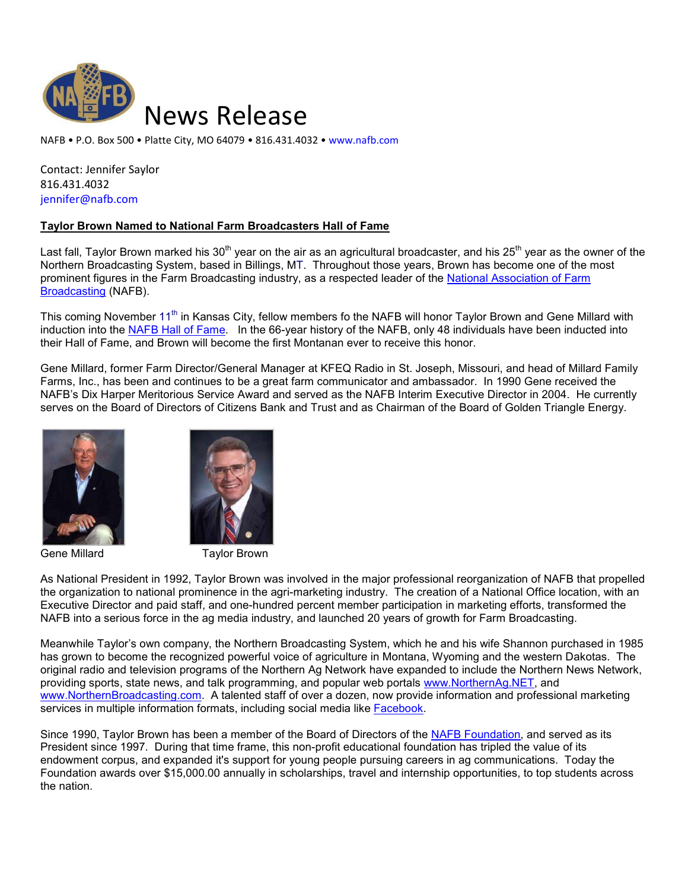

NAFB • P.O. Box 500 • Platte City, MO 64079 • 816.431.4032 • www.nafb.com

Contact: Jennifer Saylor 816.431.4032 jennifer@nafb.com

## **Taylor Brown Named to National Farm Broadcasters Hall of Fame**

Last fall, Taylor Brown marked his 30<sup>th</sup> year on the air as an agricultural broadcaster, and his 25<sup>th</sup> year as the owner of the Northern Broadcasting System, based in Billings, MT. Throughout those years, Brown has become one of the most prominent figures in the Farm Broadcasting industry, as a respected leader of the National Association of Farm Broadcasting (NAFB).

This coming November 11<sup>th</sup> in Kansas City, fellow members fo the NAFB will honor Taylor Brown and Gene Millard with induction into the NAFB Hall of Fame. In the 66-year history of the NAFB, only 48 individuals have been inducted into their Hall of Fame, and Brown will become the first Montanan ever to receive this honor.

Gene Millard, former Farm Director/General Manager at KFEQ Radio in St. Joseph, Missouri, and head of Millard Family Farms, Inc., has been and continues to be a great farm communicator and ambassador. In 1990 Gene received the NAFB's Dix Harper Meritorious Service Award and served as the NAFB Interim Executive Director in 2004. He currently serves on the Board of Directors of Citizens Bank and Trust and as Chairman of the Board of Golden Triangle Energy.



Gene Millard **Taylor Brown** 



As National President in 1992, Taylor Brown was involved in the major professional reorganization of NAFB that propelled the organization to national prominence in the agri-marketing industry. The creation of a National Office location, with an Executive Director and paid staff, and one-hundred percent member participation in marketing efforts, transformed the NAFB into a serious force in the ag media industry, and launched 20 years of growth for Farm Broadcasting.

Meanwhile Taylor's own company, the Northern Broadcasting System, which he and his wife Shannon purchased in 1985 has grown to become the recognized powerful voice of agriculture in Montana, Wyoming and the western Dakotas. The original radio and television programs of the Northern Ag Network have expanded to include the Northern News Network, providing sports, state news, and talk programming, and popular web portals www.NorthernAg.NET, and www.NorthernBroadcasting.com. A talented staff of over a dozen, now provide information and professional marketing services in multiple information formats, including social media like Facebook.

Since 1990, Taylor Brown has been a member of the Board of Directors of the NAFB Foundation, and served as its President since 1997. During that time frame, this non-profit educational foundation has tripled the value of its endowment corpus, and expanded it's support for young people pursuing careers in ag communications. Today the Foundation awards over \$15,000.00 annually in scholarships, travel and internship opportunities, to top students across the nation.